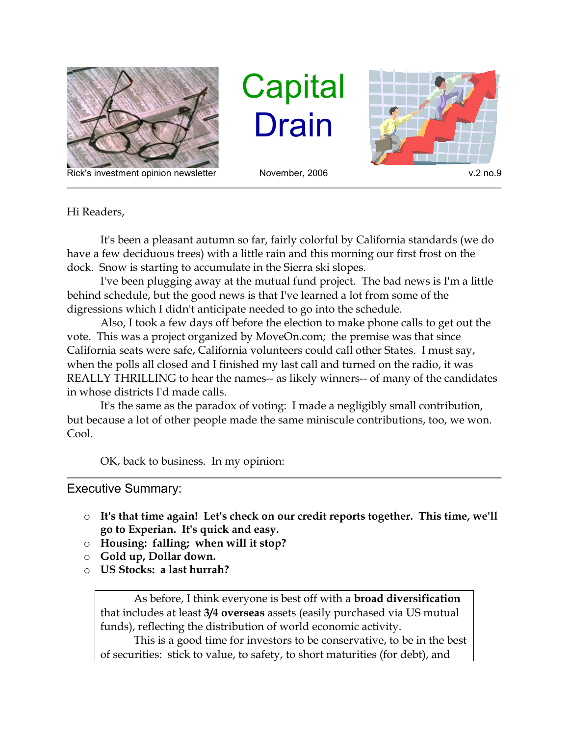

Rick's investment opinion newsletter November, 2006 v.2 no.9

**Capital** Drain



Hi Readers,

 It's been a pleasant autumn so far, fairly colorful by California standards (we do have a few deciduous trees) with a little rain and this morning our first frost on the dock. Snow is starting to accumulate in the Sierra ski slopes.

 I've been plugging away at the mutual fund project. The bad news is I'm a little behind schedule, but the good news is that I've learned a lot from some of the digressions which I didn't anticipate needed to go into the schedule.

 Also, I took a few days off before the election to make phone calls to get out the vote. This was a project organized by MoveOn.com; the premise was that since California seats were safe, California volunteers could call other States. I must say, when the polls all closed and I finished my last call and turned on the radio, it was REALLY THRILLING to hear the names-- as likely winners-- of many of the candidates in whose districts I'd made calls.

 It's the same as the paradox of voting: I made a negligibly small contribution, but because a lot of other people made the same miniscule contributions, too, we won. Cool.

OK, back to business. In my opinion:

## Executive Summary:

- o It's that time again! Let's check on our credit reports together. This time, we'll go to Experian. It's quick and easy.
- o Housing: falling; when will it stop?
- o Gold up, Dollar down.
- o US Stocks: a last hurrah?

 As before, I think everyone is best off with a broad diversification that includes at least 3/4 overseas assets (easily purchased via US mutual funds), reflecting the distribution of world economic activity.

 This is a good time for investors to be conservative, to be in the best of securities: stick to value, to safety, to short maturities (for debt), and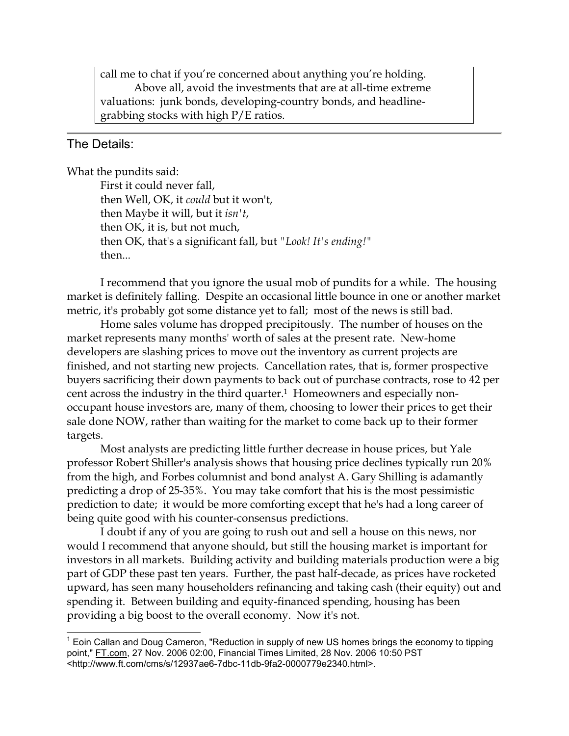call me to chat if you're concerned about anything you're holding. Above all, avoid the investments that are at all-time extreme valuations: junk bonds, developing-country bonds, and headlinegrabbing stocks with high P/E ratios.

## The Details:

 $\overline{\phantom{a}}$ 

What the pundits said:

 First it could never fall, then Well, OK, it could but it won't, then Maybe it will, but it  $isn't$ , then OK, it is, but not much, then OK, that's a significant fall, but "Look! It's ending!" then...

 I recommend that you ignore the usual mob of pundits for a while. The housing market is definitely falling. Despite an occasional little bounce in one or another market metric, it's probably got some distance yet to fall; most of the news is still bad.

 Home sales volume has dropped precipitously. The number of houses on the market represents many months' worth of sales at the present rate. New-home developers are slashing prices to move out the inventory as current projects are finished, and not starting new projects. Cancellation rates, that is, former prospective buyers sacrificing their down payments to back out of purchase contracts, rose to 42 per cent across the industry in the third quarter.1 Homeowners and especially nonoccupant house investors are, many of them, choosing to lower their prices to get their sale done NOW, rather than waiting for the market to come back up to their former targets.

 Most analysts are predicting little further decrease in house prices, but Yale professor Robert Shiller's analysis shows that housing price declines typically run 20% from the high, and Forbes columnist and bond analyst A. Gary Shilling is adamantly predicting a drop of 25-35%. You may take comfort that his is the most pessimistic prediction to date; it would be more comforting except that he's had a long career of being quite good with his counter-consensus predictions.

 I doubt if any of you are going to rush out and sell a house on this news, nor would I recommend that anyone should, but still the housing market is important for investors in all markets. Building activity and building materials production were a big part of GDP these past ten years. Further, the past half-decade, as prices have rocketed upward, has seen many householders refinancing and taking cash (their equity) out and spending it. Between building and equity-financed spending, housing has been providing a big boost to the overall economy. Now it's not.

 $1$  Eoin Callan and Doug Cameron, "Reduction in supply of new US homes brings the economy to tipping point," FT.com, 27 Nov. 2006 02:00, Financial Times Limited, 28 Nov. 2006 10:50 PST <http://www.ft.com/cms/s/12937ae6-7dbc-11db-9fa2-0000779e2340.html>.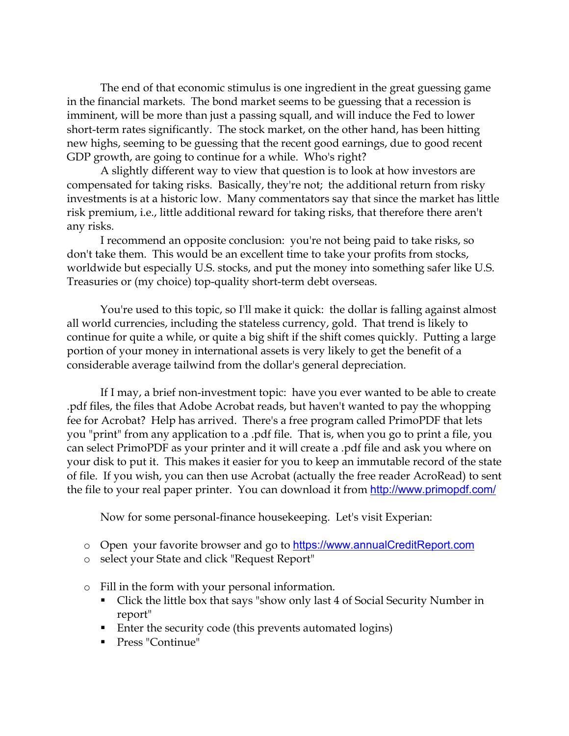The end of that economic stimulus is one ingredient in the great guessing game in the financial markets. The bond market seems to be guessing that a recession is imminent, will be more than just a passing squall, and will induce the Fed to lower short-term rates significantly. The stock market, on the other hand, has been hitting new highs, seeming to be guessing that the recent good earnings, due to good recent GDP growth, are going to continue for a while. Who's right?

 A slightly different way to view that question is to look at how investors are compensated for taking risks. Basically, they're not; the additional return from risky investments is at a historic low. Many commentators say that since the market has little risk premium, i.e., little additional reward for taking risks, that therefore there aren't any risks.

 I recommend an opposite conclusion: you're not being paid to take risks, so don't take them. This would be an excellent time to take your profits from stocks, worldwide but especially U.S. stocks, and put the money into something safer like U.S. Treasuries or (my choice) top-quality short-term debt overseas.

 You're used to this topic, so I'll make it quick: the dollar is falling against almost all world currencies, including the stateless currency, gold. That trend is likely to continue for quite a while, or quite a big shift if the shift comes quickly. Putting a large portion of your money in international assets is very likely to get the benefit of a considerable average tailwind from the dollar's general depreciation.

 If I may, a brief non-investment topic: have you ever wanted to be able to create .pdf files, the files that Adobe Acrobat reads, but haven't wanted to pay the whopping fee for Acrobat? Help has arrived. There's a free program called PrimoPDF that lets you "print" from any application to a .pdf file. That is, when you go to print a file, you can select PrimoPDF as your printer and it will create a .pdf file and ask you where on your disk to put it. This makes it easier for you to keep an immutable record of the state of file. If you wish, you can then use Acrobat (actually the free reader AcroRead) to sent the file to your real paper printer. You can download it from http://www.primopdf.com/

Now for some personal-finance housekeeping. Let's visit Experian:

- o Open your favorite browser and go to https://www.annualCreditReport.com
- o select your State and click "Request Report"
- o Fill in the form with your personal information.
	- Click the little box that says "show only last 4 of Social Security Number in report"
	- Enter the security code (this prevents automated logins)
	- Press "Continue"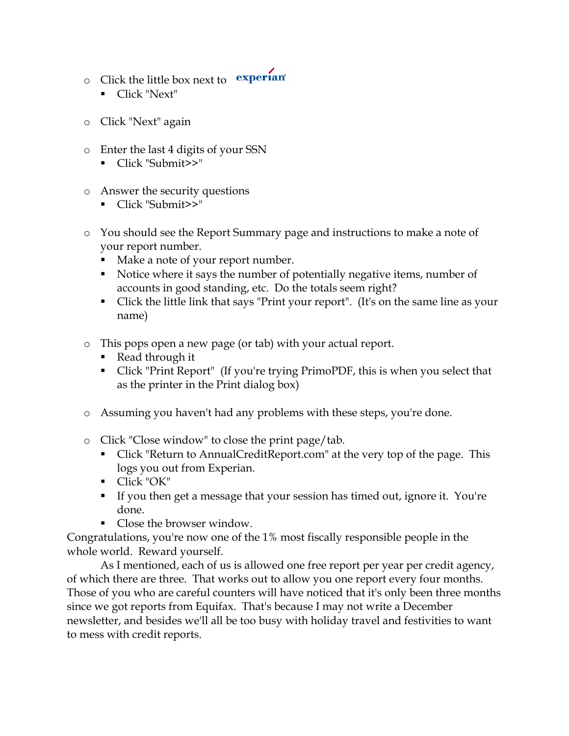- $\circ$  Click the little box next to **experian** 
	- Click "Next"
- o Click "Next" again
- o Enter the last 4 digits of your SSN
	- Click "Submit>>"
- o Answer the security questions
	- Click "Submit>>"
- o You should see the Report Summary page and instructions to make a note of your report number.
	- Make a note of your report number.
	- Notice where it says the number of potentially negative items, number of accounts in good standing, etc. Do the totals seem right?
	- Click the little link that says "Print your report". (It's on the same line as your name)
- o This pops open a new page (or tab) with your actual report.
	- Read through it
	- Click "Print Report" (If you're trying PrimoPDF, this is when you select that as the printer in the Print dialog box)
- o Assuming you haven't had any problems with these steps, you're done.
- o Click "Close window" to close the print page/tab.
	- Click "Return to AnnualCreditReport.com" at the very top of the page. This logs you out from Experian.
	- Click "OK"
	- If you then get a message that your session has timed out, ignore it. You're done.
	- Close the browser window.

Congratulations, you're now one of the 1% most fiscally responsible people in the whole world. Reward yourself.

 As I mentioned, each of us is allowed one free report per year per credit agency, of which there are three. That works out to allow you one report every four months. Those of you who are careful counters will have noticed that it's only been three months since we got reports from Equifax. That's because I may not write a December newsletter, and besides we'll all be too busy with holiday travel and festivities to want to mess with credit reports.